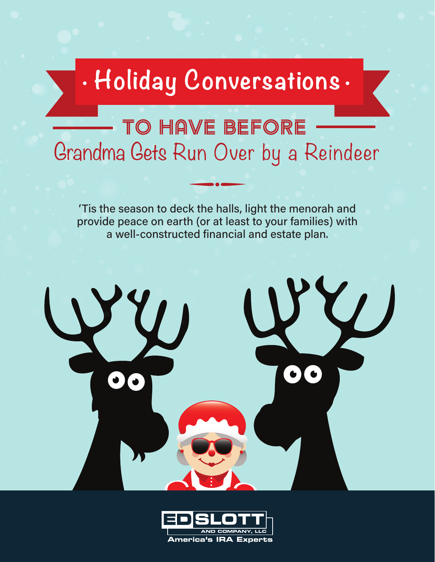# TO HAVE BEFORE Grandma Gets Run Over by a Reindeer

'Tis the season to deck the halls, light the menorah and provide peace on earth (or at least to your families) with a well-constructed financial and estate plan.

 $\overline{\phantom{a}}$ 



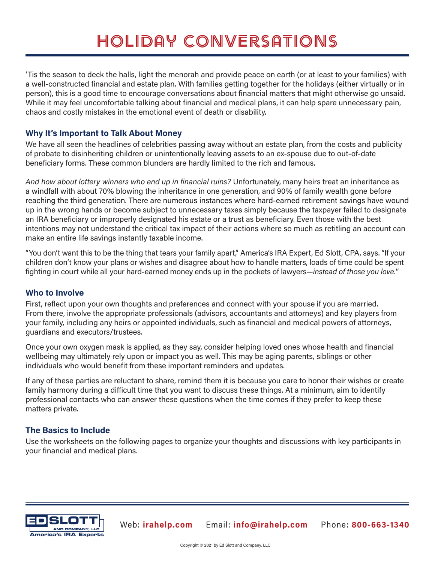'Tis the season to deck the halls, light the menorah and provide peace on earth (or at least to your families) with a well-constructed financial and estate plan. With families getting together for the holidays (either virtually or in person), this is a good time to encourage conversations about financial matters that might otherwise go unsaid. While it may feel uncomfortable talking about financial and medical plans, it can help spare unnecessary pain, chaos and costly mistakes in the emotional event of death or disability.

### **Why It's Important to Talk About Money**

We have all seen the headlines of celebrities passing away without an estate plan, from the costs and publicity of probate to disinheriting children or unintentionally leaving assets to an ex-spouse due to out-of-date beneficiary forms. These common blunders are hardly limited to the rich and famous.

*And how about lottery winners who end up in financial ruins?* Unfortunately, many heirs treat an inheritance as a windfall with about 70% blowing the inheritance in one generation, and 90% of family wealth gone before reaching the third generation. There are numerous instances where hard-earned retirement savings have wound up in the wrong hands or become subject to unnecessary taxes simply because the taxpayer failed to designate an IRA beneficiary or improperly designated his estate or a trust as beneficiary. Even those with the best intentions may not understand the critical tax impact of their actions where so much as retitling an account can make an entire life savings instantly taxable income.

"You don't want this to be the thing that tears your family apart," America's IRA Expert, Ed Slott, CPA, says. "If your children don't know your plans or wishes and disagree about how to handle matters, loads of time could be spent fighting in court while all your hard-earned money ends up in the pockets of lawyers—*instead of those you love.*"

#### **Who to Involve**

First, reflect upon your own thoughts and preferences and connect with your spouse if you are married. From there, involve the appropriate professionals (advisors, accountants and attorneys) and key players from your family, including any heirs or appointed individuals, such as financial and medical powers of attorneys, guardians and executors/trustees.

Once your own oxygen mask is applied, as they say, consider helping loved ones whose health and financial wellbeing may ultimately rely upon or impact you as well. This may be aging parents, siblings or other individuals who would benefit from these important reminders and updates.

If any of these parties are reluctant to share, remind them it is because you care to honor their wishes or create family harmony during a difficult time that you want to discuss these things. At a minimum, aim to identify professional contacts who can answer these questions when the time comes if they prefer to keep these matters private.

#### **The Basics to Include**

Use the worksheets on the following pages to organize your thoughts and discussions with key participants in your financial and medical plans.

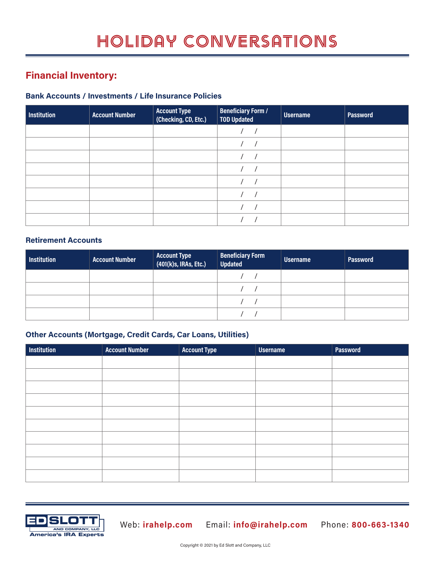## **Financial Inventory:**

### **Bank Accounts / Investments / Life Insurance Policies**

| Institution | <b>Account Number</b> | <b>Account Type</b><br>(Checking, CD, Etc.) | <b>Beneficiary Form /</b><br><b>TOD Updated</b> | <b>Username</b> | <b>Password</b> |
|-------------|-----------------------|---------------------------------------------|-------------------------------------------------|-----------------|-----------------|
|             |                       |                                             |                                                 |                 |                 |
|             |                       |                                             |                                                 |                 |                 |
|             |                       |                                             |                                                 |                 |                 |
|             |                       |                                             |                                                 |                 |                 |
|             |                       |                                             |                                                 |                 |                 |
|             |                       |                                             |                                                 |                 |                 |
|             |                       |                                             |                                                 |                 |                 |
|             |                       |                                             |                                                 |                 |                 |

#### **Retirement Accounts**

| <b>Institution</b> | <b>Account Number</b> | <b>Account Type</b><br>(401(k)s, IRAs, Etc.) | <b>Beneficiary Form</b><br>Updated | <b>Username</b> | <b>Password</b> |
|--------------------|-----------------------|----------------------------------------------|------------------------------------|-----------------|-----------------|
|                    |                       |                                              |                                    |                 |                 |
|                    |                       |                                              |                                    |                 |                 |
|                    |                       |                                              |                                    |                 |                 |
|                    |                       |                                              |                                    |                 |                 |

### **Other Accounts (Mortgage, Credit Cards, Car Loans, Utilities)**

| <b>Institution</b> | <b>Account Number</b> | <b>Account Type</b> | <b>Username</b> | <b>Password</b> |
|--------------------|-----------------------|---------------------|-----------------|-----------------|
|                    |                       |                     |                 |                 |
|                    |                       |                     |                 |                 |
|                    |                       |                     |                 |                 |
|                    |                       |                     |                 |                 |
|                    |                       |                     |                 |                 |
|                    |                       |                     |                 |                 |
|                    |                       |                     |                 |                 |
|                    |                       |                     |                 |                 |
|                    |                       |                     |                 |                 |
|                    |                       |                     |                 |                 |
|                    |                       |                     |                 |                 |



**ED SLOTT** Web: **irahelp.com** Email: **info@irahelp.com** Phone: **800-663-1340**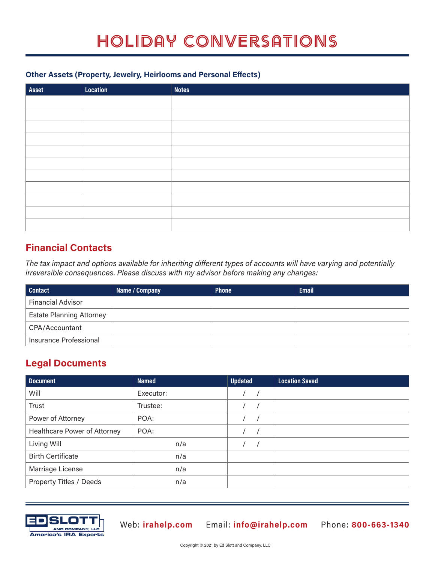### **Other Assets (Property, Jewelry, Heirlooms and Personal Effects)**

| Asset | <b>Location</b> | <b>Notes</b> |
|-------|-----------------|--------------|
|       |                 |              |
|       |                 |              |
|       |                 |              |
|       |                 |              |
|       |                 |              |
|       |                 |              |
|       |                 |              |
|       |                 |              |
|       |                 |              |
|       |                 |              |
|       |                 |              |

### **Financial Contacts**

*The tax impact and options available for inheriting different types of accounts will have varying and potentially irreversible consequences. Please discuss with my advisor before making any changes:*

| <b>Contact</b>                  | Name / Company | <b>Phone</b> | <b>Email</b> |
|---------------------------------|----------------|--------------|--------------|
| <b>Financial Advisor</b>        |                |              |              |
| <b>Estate Planning Attorney</b> |                |              |              |
| CPA/Accountant                  |                |              |              |
| Insurance Professional          |                |              |              |

### **Legal Documents**

| <b>Document</b>                     | <b>Named</b> | <b>Updated</b> | <b>Location Saved</b> |
|-------------------------------------|--------------|----------------|-----------------------|
| Will                                | Executor:    |                |                       |
| Trust                               | Trustee:     |                |                       |
| Power of Attorney                   | POA:         |                |                       |
| <b>Healthcare Power of Attorney</b> | POA:         |                |                       |
| Living Will                         | n/a          |                |                       |
| <b>Birth Certificate</b>            | n/a          |                |                       |
| Marriage License                    | n/a          |                |                       |
| Property Titles / Deeds             | n/a          |                |                       |



**ED SLOTT** Web: **irahelp.com** Email: **info@irahelp.com** Phone: **800-663-1340**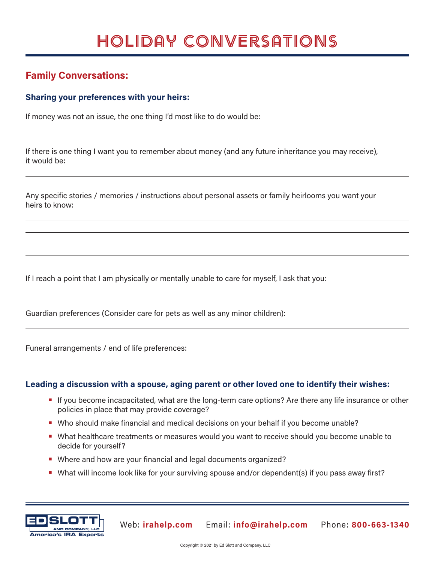### **Family Conversations:**

### **Sharing your preferences with your heirs:**

If money was not an issue, the one thing I'd most like to do would be:

If there is one thing I want you to remember about money (and any future inheritance you may receive), it would be:

Any specific stories / memories / instructions about personal assets or family heirlooms you want your heirs to know:

If I reach a point that I am physically or mentally unable to care for myself, I ask that you:

Guardian preferences (Consider care for pets as well as any minor children):

Funeral arrangements / end of life preferences:

#### **Leading a discussion with a spouse, aging parent or other loved one to identify their wishes:**

- **•** If you become incapacitated, what are the long-term care options? Are there any life insurance or other policies in place that may provide coverage?
- **•** Who should make financial and medical decisions on your behalf if you become unable?
- **•** What healthcare treatments or measures would you want to receive should you become unable to decide for yourself?
- **•** Where and how are your financial and legal documents organized?
- **•** What will income look like for your surviving spouse and/or dependent(s) if you pass away first?